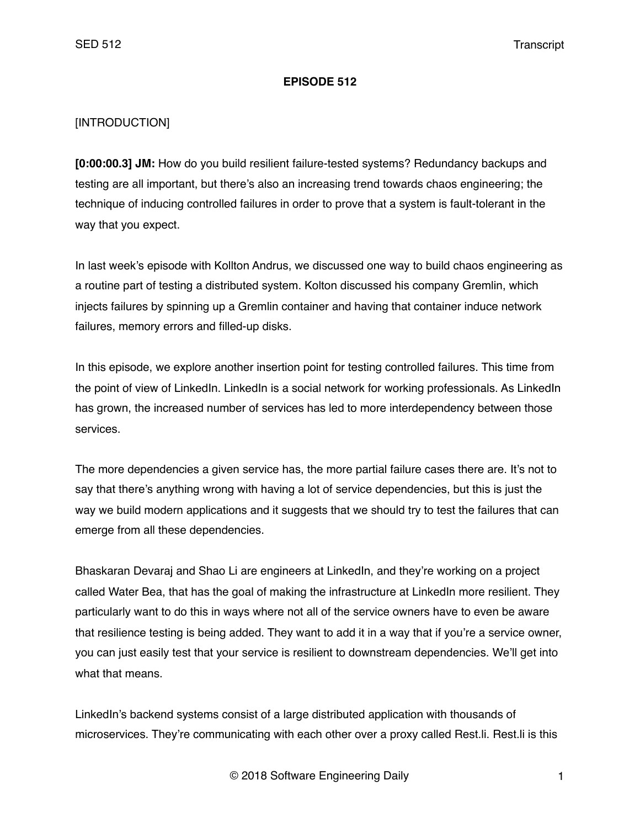### **EPISODE 512**

## [INTRODUCTION]

**[0:00:00.3] JM:** How do you build resilient failure-tested systems? Redundancy backups and testing are all important, but there's also an increasing trend towards chaos engineering; the technique of inducing controlled failures in order to prove that a system is fault-tolerant in the way that you expect.

In last week's episode with Kollton Andrus, we discussed one way to build chaos engineering as a routine part of testing a distributed system. Kolton discussed his company Gremlin, which injects failures by spinning up a Gremlin container and having that container induce network failures, memory errors and filled-up disks.

In this episode, we explore another insertion point for testing controlled failures. This time from the point of view of LinkedIn. LinkedIn is a social network for working professionals. As LinkedIn has grown, the increased number of services has led to more interdependency between those services.

The more dependencies a given service has, the more partial failure cases there are. It's not to say that there's anything wrong with having a lot of service dependencies, but this is just the way we build modern applications and it suggests that we should try to test the failures that can emerge from all these dependencies.

Bhaskaran Devaraj and Shao Li are engineers at LinkedIn, and they're working on a project called Water Bea, that has the goal of making the infrastructure at LinkedIn more resilient. They particularly want to do this in ways where not all of the service owners have to even be aware that resilience testing is being added. They want to add it in a way that if you're a service owner, you can just easily test that your service is resilient to downstream dependencies. We'll get into what that means.

LinkedIn's backend systems consist of a large distributed application with thousands of microservices. They're communicating with each other over a proxy called Rest.li. Rest.li is this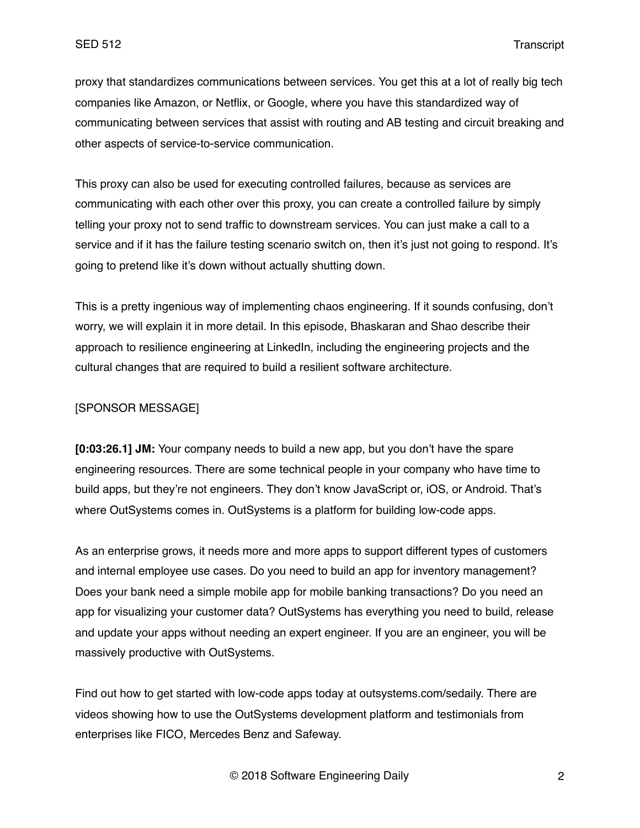proxy that standardizes communications between services. You get this at a lot of really big tech companies like Amazon, or Netflix, or Google, where you have this standardized way of communicating between services that assist with routing and AB testing and circuit breaking and other aspects of service-to-service communication.

This proxy can also be used for executing controlled failures, because as services are communicating with each other over this proxy, you can create a controlled failure by simply telling your proxy not to send traffic to downstream services. You can just make a call to a service and if it has the failure testing scenario switch on, then it's just not going to respond. It's going to pretend like it's down without actually shutting down.

This is a pretty ingenious way of implementing chaos engineering. If it sounds confusing, don't worry, we will explain it in more detail. In this episode, Bhaskaran and Shao describe their approach to resilience engineering at LinkedIn, including the engineering projects and the cultural changes that are required to build a resilient software architecture.

#### [SPONSOR MESSAGE]

**[0:03:26.1] JM:** Your company needs to build a new app, but you don't have the spare engineering resources. There are some technical people in your company who have time to build apps, but they're not engineers. They don't know JavaScript or, iOS, or Android. That's where OutSystems comes in. OutSystems is a platform for building low-code apps.

As an enterprise grows, it needs more and more apps to support different types of customers and internal employee use cases. Do you need to build an app for inventory management? Does your bank need a simple mobile app for mobile banking transactions? Do you need an app for visualizing your customer data? OutSystems has everything you need to build, release and update your apps without needing an expert engineer. If you are an engineer, you will be massively productive with OutSystems.

Find out how to get started with low-code apps today at outsystems.com/sedaily. There are videos showing how to use the OutSystems development platform and testimonials from enterprises like FICO, Mercedes Benz and Safeway.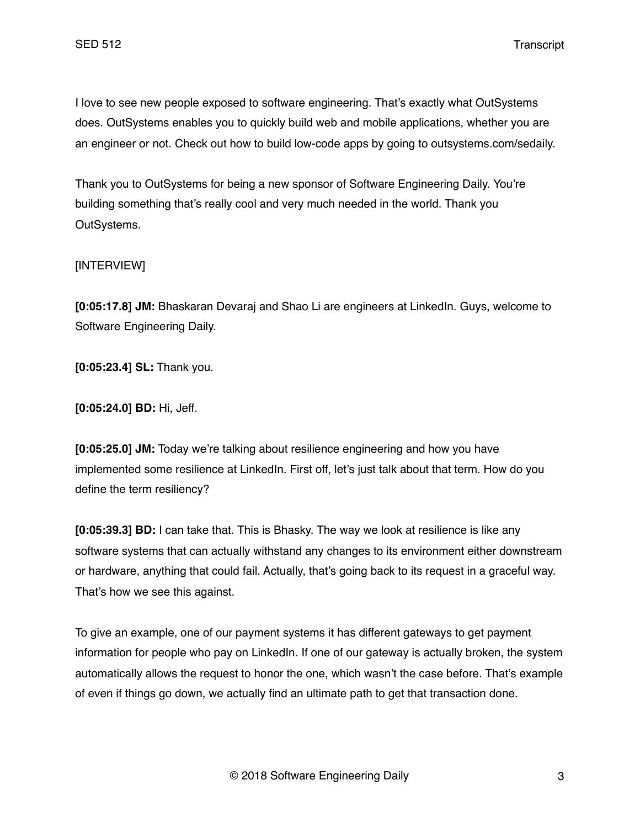I love to see new people exposed to software engineering. That's exactly what OutSystems does. OutSystems enables you to quickly build web and mobile applications, whether you are an engineer or not. Check out how to build low-code apps by going to outsystems.com/sedaily.

Thank you to OutSystems for being a new sponsor of Software Engineering Daily. You're building something that's really cool and very much needed in the world. Thank you OutSystems.

# [INTERVIEW]

**[0:05:17.8] JM:** Bhaskaran Devaraj and Shao Li are engineers at LinkedIn. Guys, welcome to Software Engineering Daily.

**[0:05:23.4] SL:** Thank you.

**[0:05:24.0] BD:** Hi, Jeff.

**[0:05:25.0] JM:** Today we're talking about resilience engineering and how you have implemented some resilience at LinkedIn. First off, let's just talk about that term. How do you define the term resiliency?

**[0:05:39.3] BD:** I can take that. This is Bhasky. The way we look at resilience is like any software systems that can actually withstand any changes to its environment either downstream or hardware, anything that could fail. Actually, that's going back to its request in a graceful way. That's how we see this against.

To give an example, one of our payment systems it has different gateways to get payment information for people who pay on LinkedIn. If one of our gateway is actually broken, the system automatically allows the request to honor the one, which wasn't the case before. That's example of even if things go down, we actually find an ultimate path to get that transaction done.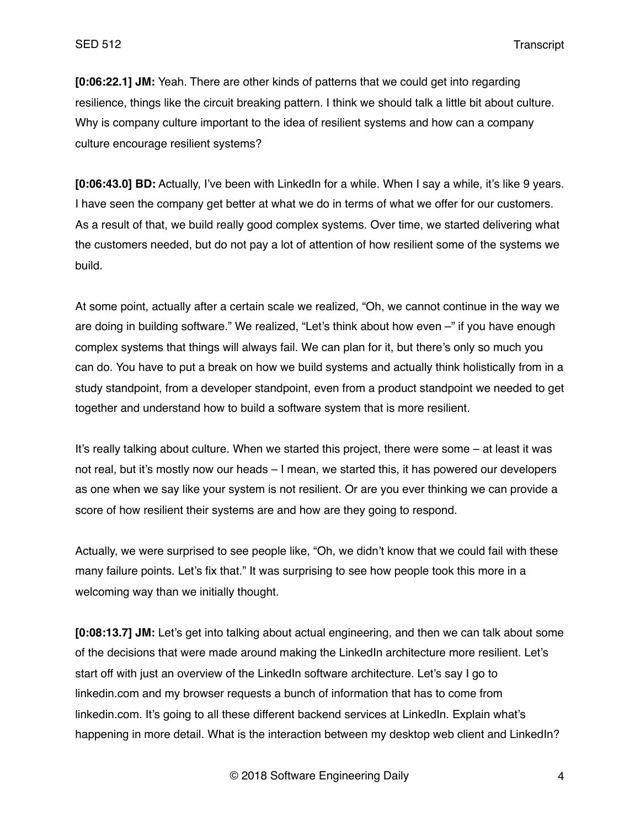**[0:06:22.1] JM:** Yeah. There are other kinds of patterns that we could get into regarding resilience, things like the circuit breaking pattern. I think we should talk a little bit about culture. Why is company culture important to the idea of resilient systems and how can a company culture encourage resilient systems?

**[0:06:43.0] BD:** Actually, I've been with LinkedIn for a while. When I say a while, it's like 9 years. I have seen the company get better at what we do in terms of what we offer for our customers. As a result of that, we build really good complex systems. Over time, we started delivering what the customers needed, but do not pay a lot of attention of how resilient some of the systems we build.

At some point, actually after a certain scale we realized, "Oh, we cannot continue in the way we are doing in building software." We realized, "Let's think about how even –" if you have enough complex systems that things will always fail. We can plan for it, but there's only so much you can do. You have to put a break on how we build systems and actually think holistically from in a study standpoint, from a developer standpoint, even from a product standpoint we needed to get together and understand how to build a software system that is more resilient.

It's really talking about culture. When we started this project, there were some – at least it was not real, but it's mostly now our heads – I mean, we started this, it has powered our developers as one when we say like your system is not resilient. Or are you ever thinking we can provide a score of how resilient their systems are and how are they going to respond.

Actually, we were surprised to see people like, "Oh, we didn't know that we could fail with these many failure points. Let's fix that." It was surprising to see how people took this more in a welcoming way than we initially thought.

**[0:08:13.7] JM:** Let's get into talking about actual engineering, and then we can talk about some of the decisions that were made around making the LinkedIn architecture more resilient. Let's start off with just an overview of the LinkedIn software architecture. Let's say I go to linkedin.com and my browser requests a bunch of information that has to come from linkedin.com. It's going to all these different backend services at LinkedIn. Explain what's happening in more detail. What is the interaction between my desktop web client and LinkedIn?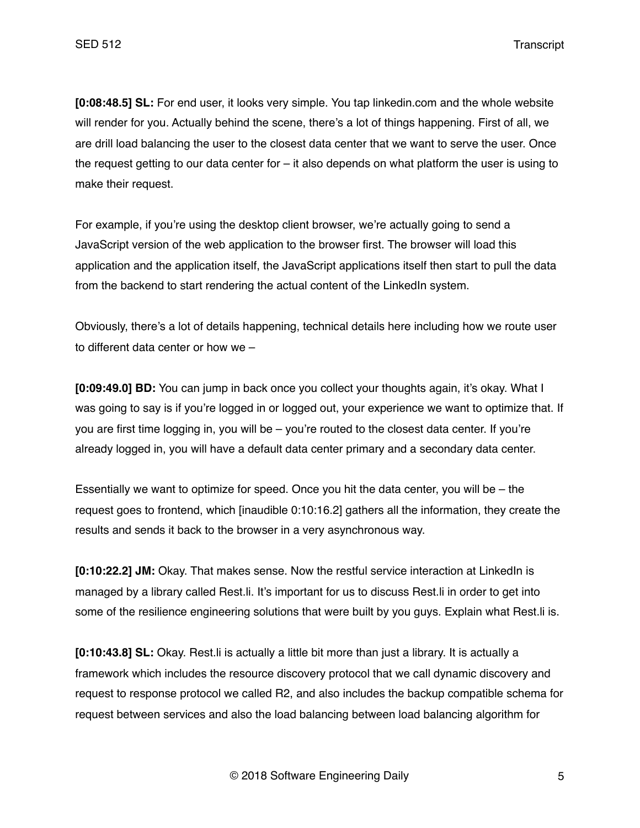**[0:08:48.5] SL:** For end user, it looks very simple. You tap linkedin.com and the whole website will render for you. Actually behind the scene, there's a lot of things happening. First of all, we are drill load balancing the user to the closest data center that we want to serve the user. Once the request getting to our data center for – it also depends on what platform the user is using to make their request.

For example, if you're using the desktop client browser, we're actually going to send a JavaScript version of the web application to the browser first. The browser will load this application and the application itself, the JavaScript applications itself then start to pull the data from the backend to start rendering the actual content of the LinkedIn system.

Obviously, there's a lot of details happening, technical details here including how we route user to different data center or how we –

**[0:09:49.0] BD:** You can jump in back once you collect your thoughts again, it's okay. What I was going to say is if you're logged in or logged out, your experience we want to optimize that. If you are first time logging in, you will be – you're routed to the closest data center. If you're already logged in, you will have a default data center primary and a secondary data center.

Essentially we want to optimize for speed. Once you hit the data center, you will be – the request goes to frontend, which [inaudible 0:10:16.2] gathers all the information, they create the results and sends it back to the browser in a very asynchronous way.

**[0:10:22.2] JM:** Okay. That makes sense. Now the restful service interaction at LinkedIn is managed by a library called Rest.li. It's important for us to discuss Rest.li in order to get into some of the resilience engineering solutions that were built by you guys. Explain what Rest.li is.

**[0:10:43.8] SL:** Okay. Rest.li is actually a little bit more than just a library. It is actually a framework which includes the resource discovery protocol that we call dynamic discovery and request to response protocol we called R2, and also includes the backup compatible schema for request between services and also the load balancing between load balancing algorithm for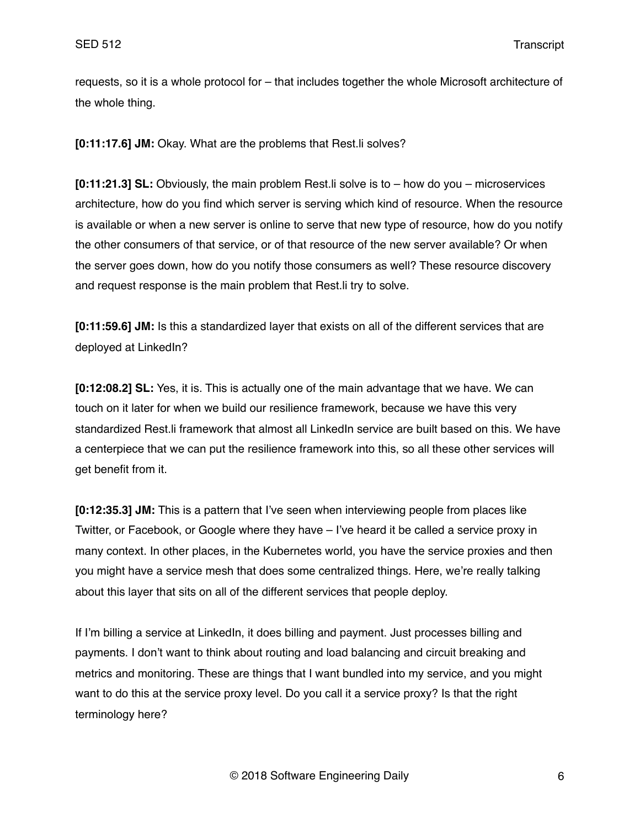requests, so it is a whole protocol for – that includes together the whole Microsoft architecture of the whole thing.

**[0:11:17.6] JM:** Okay. What are the problems that Rest.li solves?

**[0:11:21.3] SL:** Obviously, the main problem Rest.li solve is to – how do you – microservices architecture, how do you find which server is serving which kind of resource. When the resource is available or when a new server is online to serve that new type of resource, how do you notify the other consumers of that service, or of that resource of the new server available? Or when the server goes down, how do you notify those consumers as well? These resource discovery and request response is the main problem that Rest.li try to solve.

**[0:11:59.6] JM:** Is this a standardized layer that exists on all of the different services that are deployed at LinkedIn?

**[0:12:08.2] SL:** Yes, it is. This is actually one of the main advantage that we have. We can touch on it later for when we build our resilience framework, because we have this very standardized Rest.li framework that almost all LinkedIn service are built based on this. We have a centerpiece that we can put the resilience framework into this, so all these other services will get benefit from it.

**[0:12:35.3] JM:** This is a pattern that I've seen when interviewing people from places like Twitter, or Facebook, or Google where they have – I've heard it be called a service proxy in many context. In other places, in the Kubernetes world, you have the service proxies and then you might have a service mesh that does some centralized things. Here, we're really talking about this layer that sits on all of the different services that people deploy.

If I'm billing a service at LinkedIn, it does billing and payment. Just processes billing and payments. I don't want to think about routing and load balancing and circuit breaking and metrics and monitoring. These are things that I want bundled into my service, and you might want to do this at the service proxy level. Do you call it a service proxy? Is that the right terminology here?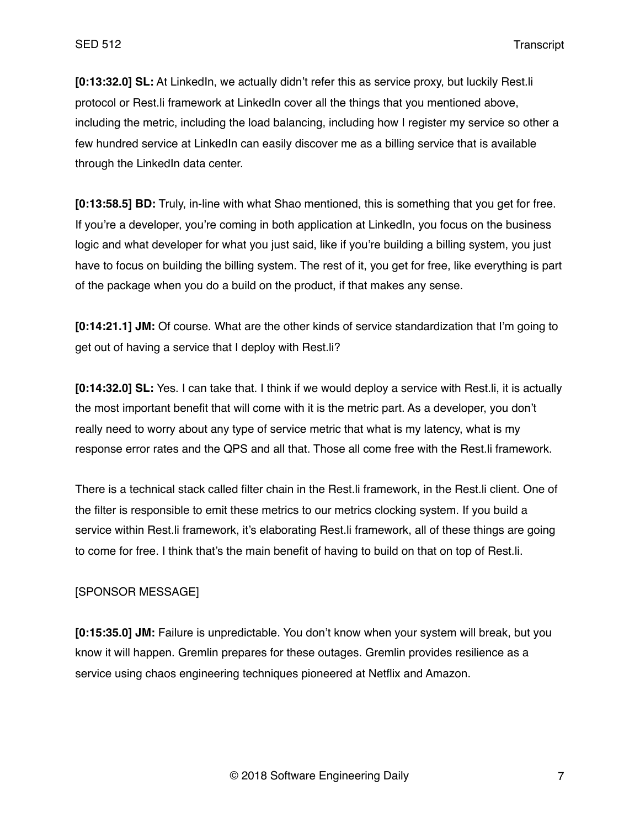**[0:13:32.0] SL:** At LinkedIn, we actually didn't refer this as service proxy, but luckily Rest.li protocol or Rest.li framework at LinkedIn cover all the things that you mentioned above, including the metric, including the load balancing, including how I register my service so other a few hundred service at LinkedIn can easily discover me as a billing service that is available through the LinkedIn data center.

**[0:13:58.5] BD:** Truly, in-line with what Shao mentioned, this is something that you get for free. If you're a developer, you're coming in both application at LinkedIn, you focus on the business logic and what developer for what you just said, like if you're building a billing system, you just have to focus on building the billing system. The rest of it, you get for free, like everything is part of the package when you do a build on the product, if that makes any sense.

**[0:14:21.1] JM:** Of course. What are the other kinds of service standardization that I'm going to get out of having a service that I deploy with Rest.li?

**[0:14:32.0] SL:** Yes. I can take that. I think if we would deploy a service with Rest.li, it is actually the most important benefit that will come with it is the metric part. As a developer, you don't really need to worry about any type of service metric that what is my latency, what is my response error rates and the QPS and all that. Those all come free with the Rest.li framework.

There is a technical stack called filter chain in the Rest.li framework, in the Rest.li client. One of the filter is responsible to emit these metrics to our metrics clocking system. If you build a service within Rest.li framework, it's elaborating Rest.li framework, all of these things are going to come for free. I think that's the main benefit of having to build on that on top of Rest.li.

### [SPONSOR MESSAGE]

**[0:15:35.0] JM:** Failure is unpredictable. You don't know when your system will break, but you know it will happen. Gremlin prepares for these outages. Gremlin provides resilience as a service using chaos engineering techniques pioneered at Netflix and Amazon.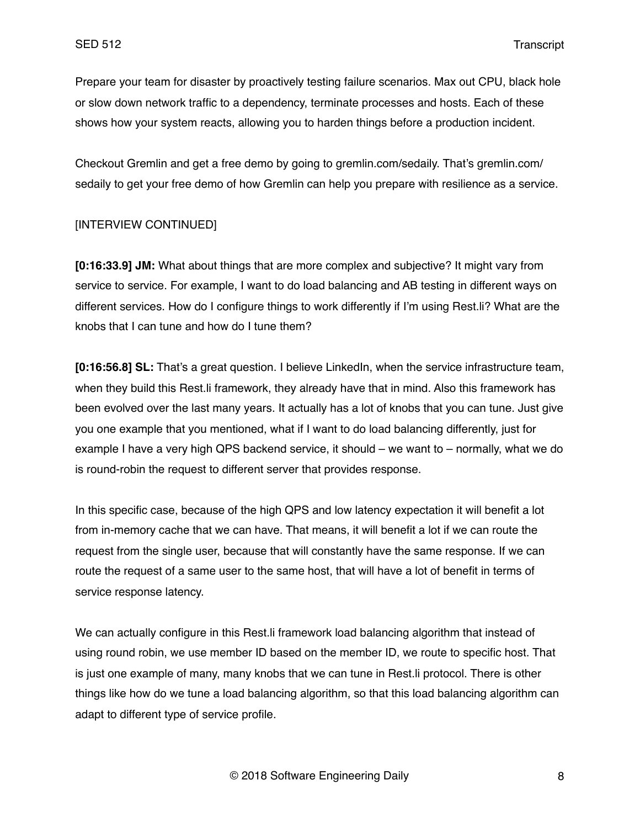Prepare your team for disaster by proactively testing failure scenarios. Max out CPU, black hole or slow down network traffic to a dependency, terminate processes and hosts. Each of these shows how your system reacts, allowing you to harden things before a production incident.

Checkout Gremlin and get a free demo by going to gremlin.com/sedaily. That's gremlin.com/ sedaily to get your free demo of how Gremlin can help you prepare with resilience as a service.

### [INTERVIEW CONTINUED]

**[0:16:33.9] JM:** What about things that are more complex and subjective? It might vary from service to service. For example, I want to do load balancing and AB testing in different ways on different services. How do I configure things to work differently if I'm using Rest.li? What are the knobs that I can tune and how do I tune them?

**[0:16:56.8] SL:** That's a great question. I believe LinkedIn, when the service infrastructure team, when they build this Rest.li framework, they already have that in mind. Also this framework has been evolved over the last many years. It actually has a lot of knobs that you can tune. Just give you one example that you mentioned, what if I want to do load balancing differently, just for example I have a very high QPS backend service, it should – we want to – normally, what we do is round-robin the request to different server that provides response.

In this specific case, because of the high QPS and low latency expectation it will benefit a lot from in-memory cache that we can have. That means, it will benefit a lot if we can route the request from the single user, because that will constantly have the same response. If we can route the request of a same user to the same host, that will have a lot of benefit in terms of service response latency.

We can actually configure in this Rest.li framework load balancing algorithm that instead of using round robin, we use member ID based on the member ID, we route to specific host. That is just one example of many, many knobs that we can tune in Rest.li protocol. There is other things like how do we tune a load balancing algorithm, so that this load balancing algorithm can adapt to different type of service profile.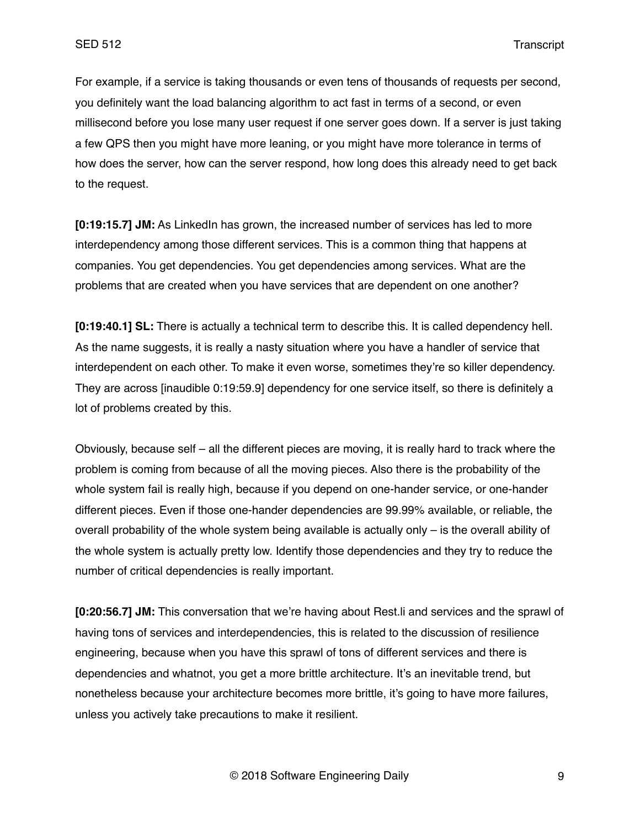For example, if a service is taking thousands or even tens of thousands of requests per second, you definitely want the load balancing algorithm to act fast in terms of a second, or even millisecond before you lose many user request if one server goes down. If a server is just taking a few QPS then you might have more leaning, or you might have more tolerance in terms of how does the server, how can the server respond, how long does this already need to get back to the request.

**[0:19:15.7] JM:** As LinkedIn has grown, the increased number of services has led to more interdependency among those different services. This is a common thing that happens at companies. You get dependencies. You get dependencies among services. What are the problems that are created when you have services that are dependent on one another?

**[0:19:40.1] SL:** There is actually a technical term to describe this. It is called dependency hell. As the name suggests, it is really a nasty situation where you have a handler of service that interdependent on each other. To make it even worse, sometimes they're so killer dependency. They are across [inaudible 0:19:59.9] dependency for one service itself, so there is definitely a lot of problems created by this.

Obviously, because self – all the different pieces are moving, it is really hard to track where the problem is coming from because of all the moving pieces. Also there is the probability of the whole system fail is really high, because if you depend on one-hander service, or one-hander different pieces. Even if those one-hander dependencies are 99.99% available, or reliable, the overall probability of the whole system being available is actually only – is the overall ability of the whole system is actually pretty low. Identify those dependencies and they try to reduce the number of critical dependencies is really important.

**[0:20:56.7] JM:** This conversation that we're having about Rest.li and services and the sprawl of having tons of services and interdependencies, this is related to the discussion of resilience engineering, because when you have this sprawl of tons of different services and there is dependencies and whatnot, you get a more brittle architecture. It's an inevitable trend, but nonetheless because your architecture becomes more brittle, it's going to have more failures, unless you actively take precautions to make it resilient.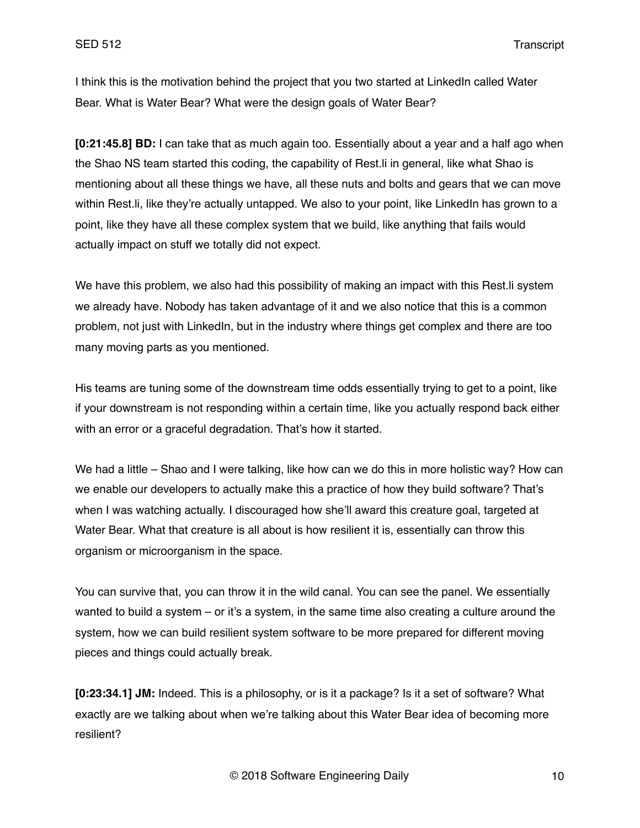I think this is the motivation behind the project that you two started at LinkedIn called Water Bear. What is Water Bear? What were the design goals of Water Bear?

**[0:21:45.8] BD:** I can take that as much again too. Essentially about a year and a half ago when the Shao NS team started this coding, the capability of Rest.li in general, like what Shao is mentioning about all these things we have, all these nuts and bolts and gears that we can move within Rest. Ii, like they're actually untapped. We also to your point, like LinkedIn has grown to a point, like they have all these complex system that we build, like anything that fails would actually impact on stuff we totally did not expect.

We have this problem, we also had this possibility of making an impact with this Rest. I system we already have. Nobody has taken advantage of it and we also notice that this is a common problem, not just with LinkedIn, but in the industry where things get complex and there are too many moving parts as you mentioned.

His teams are tuning some of the downstream time odds essentially trying to get to a point, like if your downstream is not responding within a certain time, like you actually respond back either with an error or a graceful degradation. That's how it started.

We had a little – Shao and I were talking, like how can we do this in more holistic way? How can we enable our developers to actually make this a practice of how they build software? That's when I was watching actually. I discouraged how she'll award this creature goal, targeted at Water Bear. What that creature is all about is how resilient it is, essentially can throw this organism or microorganism in the space.

You can survive that, you can throw it in the wild canal. You can see the panel. We essentially wanted to build a system – or it's a system, in the same time also creating a culture around the system, how we can build resilient system software to be more prepared for different moving pieces and things could actually break.

**[0:23:34.1] JM:** Indeed. This is a philosophy, or is it a package? Is it a set of software? What exactly are we talking about when we're talking about this Water Bear idea of becoming more resilient?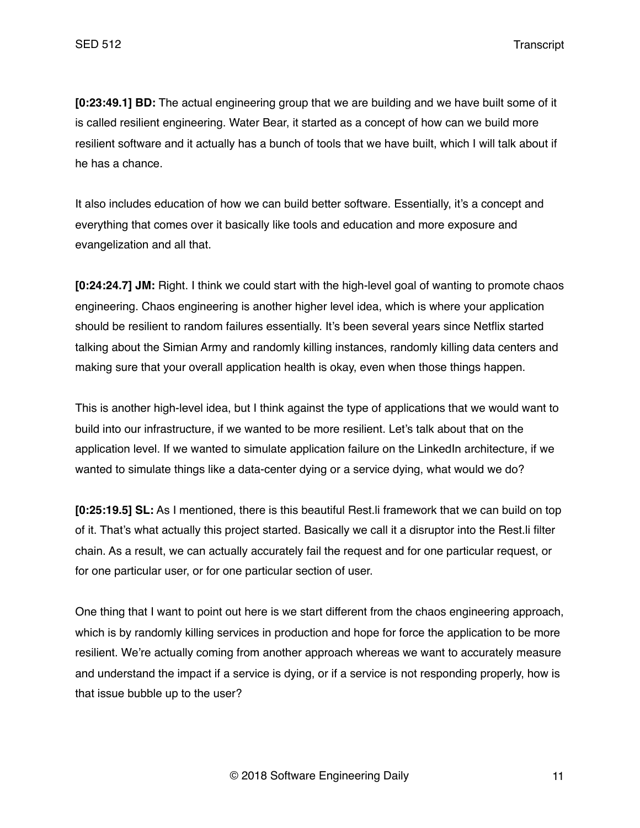**[0:23:49.1] BD:** The actual engineering group that we are building and we have built some of it is called resilient engineering. Water Bear, it started as a concept of how can we build more resilient software and it actually has a bunch of tools that we have built, which I will talk about if he has a chance.

It also includes education of how we can build better software. Essentially, it's a concept and everything that comes over it basically like tools and education and more exposure and evangelization and all that.

**[0:24:24.7] JM:** Right. I think we could start with the high-level goal of wanting to promote chaos engineering. Chaos engineering is another higher level idea, which is where your application should be resilient to random failures essentially. It's been several years since Netflix started talking about the Simian Army and randomly killing instances, randomly killing data centers and making sure that your overall application health is okay, even when those things happen.

This is another high-level idea, but I think against the type of applications that we would want to build into our infrastructure, if we wanted to be more resilient. Let's talk about that on the application level. If we wanted to simulate application failure on the LinkedIn architecture, if we wanted to simulate things like a data-center dying or a service dying, what would we do?

**[0:25:19.5] SL:** As I mentioned, there is this beautiful Rest.li framework that we can build on top of it. That's what actually this project started. Basically we call it a disruptor into the Rest.li filter chain. As a result, we can actually accurately fail the request and for one particular request, or for one particular user, or for one particular section of user.

One thing that I want to point out here is we start different from the chaos engineering approach, which is by randomly killing services in production and hope for force the application to be more resilient. We're actually coming from another approach whereas we want to accurately measure and understand the impact if a service is dying, or if a service is not responding properly, how is that issue bubble up to the user?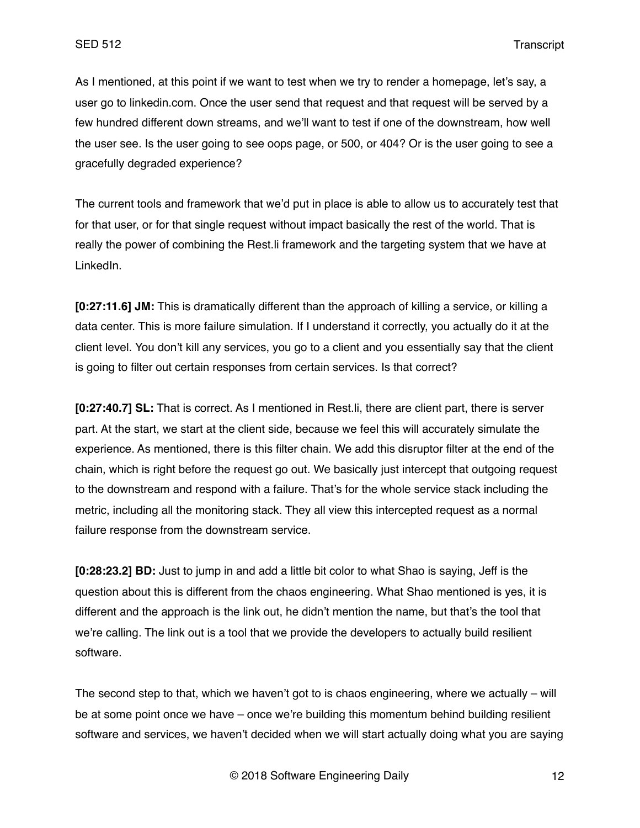As I mentioned, at this point if we want to test when we try to render a homepage, let's say, a user go to linkedin.com. Once the user send that request and that request will be served by a few hundred different down streams, and we'll want to test if one of the downstream, how well the user see. Is the user going to see oops page, or 500, or 404? Or is the user going to see a gracefully degraded experience?

The current tools and framework that we'd put in place is able to allow us to accurately test that for that user, or for that single request without impact basically the rest of the world. That is really the power of combining the Rest.li framework and the targeting system that we have at LinkedIn.

**[0:27:11.6] JM:** This is dramatically different than the approach of killing a service, or killing a data center. This is more failure simulation. If I understand it correctly, you actually do it at the client level. You don't kill any services, you go to a client and you essentially say that the client is going to filter out certain responses from certain services. Is that correct?

**[0:27:40.7] SL:** That is correct. As I mentioned in Rest.li, there are client part, there is server part. At the start, we start at the client side, because we feel this will accurately simulate the experience. As mentioned, there is this filter chain. We add this disruptor filter at the end of the chain, which is right before the request go out. We basically just intercept that outgoing request to the downstream and respond with a failure. That's for the whole service stack including the metric, including all the monitoring stack. They all view this intercepted request as a normal failure response from the downstream service.

**[0:28:23.2] BD:** Just to jump in and add a little bit color to what Shao is saying, Jeff is the question about this is different from the chaos engineering. What Shao mentioned is yes, it is different and the approach is the link out, he didn't mention the name, but that's the tool that we're calling. The link out is a tool that we provide the developers to actually build resilient software.

The second step to that, which we haven't got to is chaos engineering, where we actually – will be at some point once we have – once we're building this momentum behind building resilient software and services, we haven't decided when we will start actually doing what you are saying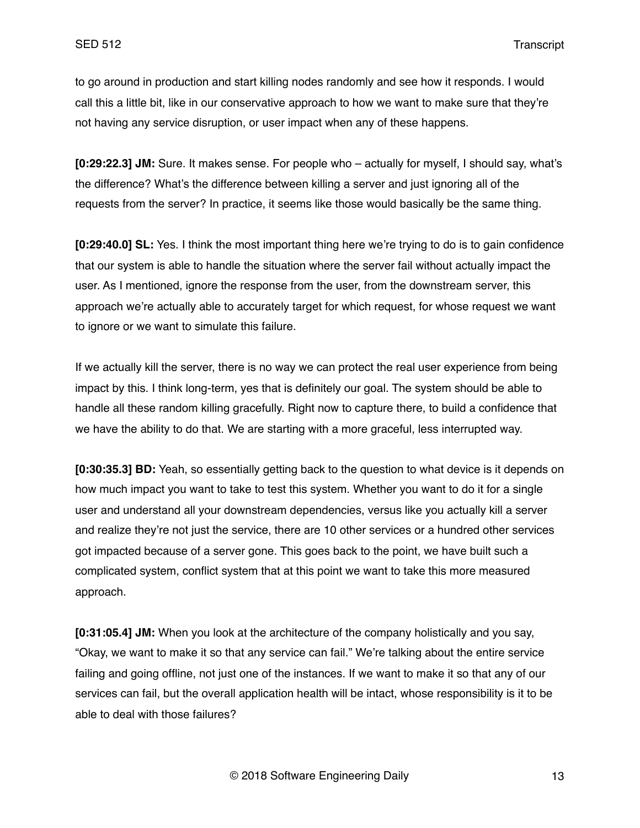to go around in production and start killing nodes randomly and see how it responds. I would call this a little bit, like in our conservative approach to how we want to make sure that they're not having any service disruption, or user impact when any of these happens.

**[0:29:22.3] JM:** Sure. It makes sense. For people who – actually for myself, I should say, what's the difference? What's the difference between killing a server and just ignoring all of the requests from the server? In practice, it seems like those would basically be the same thing.

**[0:29:40.0] SL:** Yes. I think the most important thing here we're trying to do is to gain confidence that our system is able to handle the situation where the server fail without actually impact the user. As I mentioned, ignore the response from the user, from the downstream server, this approach we're actually able to accurately target for which request, for whose request we want to ignore or we want to simulate this failure.

If we actually kill the server, there is no way we can protect the real user experience from being impact by this. I think long-term, yes that is definitely our goal. The system should be able to handle all these random killing gracefully. Right now to capture there, to build a confidence that we have the ability to do that. We are starting with a more graceful, less interrupted way.

**[0:30:35.3] BD:** Yeah, so essentially getting back to the question to what device is it depends on how much impact you want to take to test this system. Whether you want to do it for a single user and understand all your downstream dependencies, versus like you actually kill a server and realize they're not just the service, there are 10 other services or a hundred other services got impacted because of a server gone. This goes back to the point, we have built such a complicated system, conflict system that at this point we want to take this more measured approach.

**[0:31:05.4] JM:** When you look at the architecture of the company holistically and you say, "Okay, we want to make it so that any service can fail." We're talking about the entire service failing and going offline, not just one of the instances. If we want to make it so that any of our services can fail, but the overall application health will be intact, whose responsibility is it to be able to deal with those failures?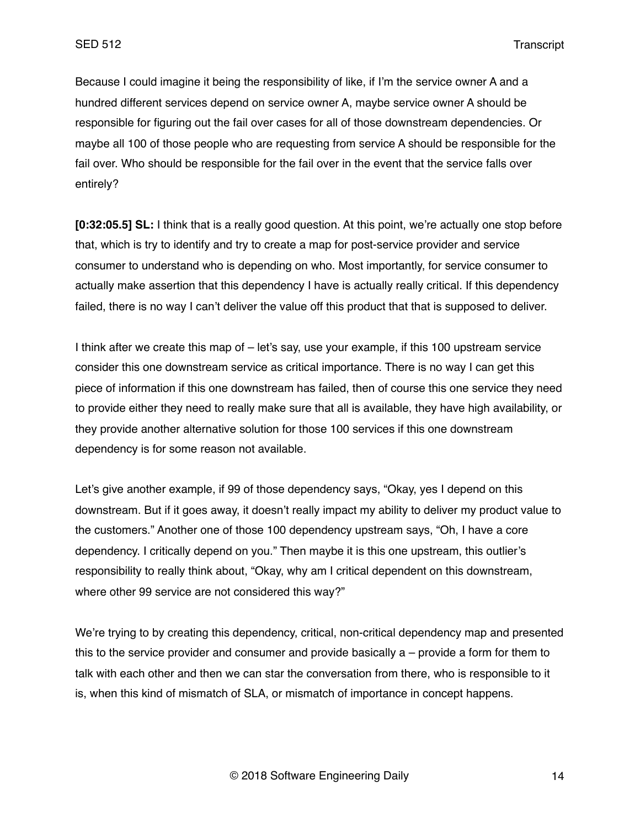Because I could imagine it being the responsibility of like, if I'm the service owner A and a hundred different services depend on service owner A, maybe service owner A should be responsible for figuring out the fail over cases for all of those downstream dependencies. Or maybe all 100 of those people who are requesting from service A should be responsible for the fail over. Who should be responsible for the fail over in the event that the service falls over entirely?

**[0:32:05.5] SL:** I think that is a really good question. At this point, we're actually one stop before that, which is try to identify and try to create a map for post-service provider and service consumer to understand who is depending on who. Most importantly, for service consumer to actually make assertion that this dependency I have is actually really critical. If this dependency failed, there is no way I can't deliver the value off this product that that is supposed to deliver.

I think after we create this map of – let's say, use your example, if this 100 upstream service consider this one downstream service as critical importance. There is no way I can get this piece of information if this one downstream has failed, then of course this one service they need to provide either they need to really make sure that all is available, they have high availability, or they provide another alternative solution for those 100 services if this one downstream dependency is for some reason not available.

Let's give another example, if 99 of those dependency says, "Okay, yes I depend on this downstream. But if it goes away, it doesn't really impact my ability to deliver my product value to the customers." Another one of those 100 dependency upstream says, "Oh, I have a core dependency. I critically depend on you." Then maybe it is this one upstream, this outlier's responsibility to really think about, "Okay, why am I critical dependent on this downstream, where other 99 service are not considered this way?"

We're trying to by creating this dependency, critical, non-critical dependency map and presented this to the service provider and consumer and provide basically a – provide a form for them to talk with each other and then we can star the conversation from there, who is responsible to it is, when this kind of mismatch of SLA, or mismatch of importance in concept happens.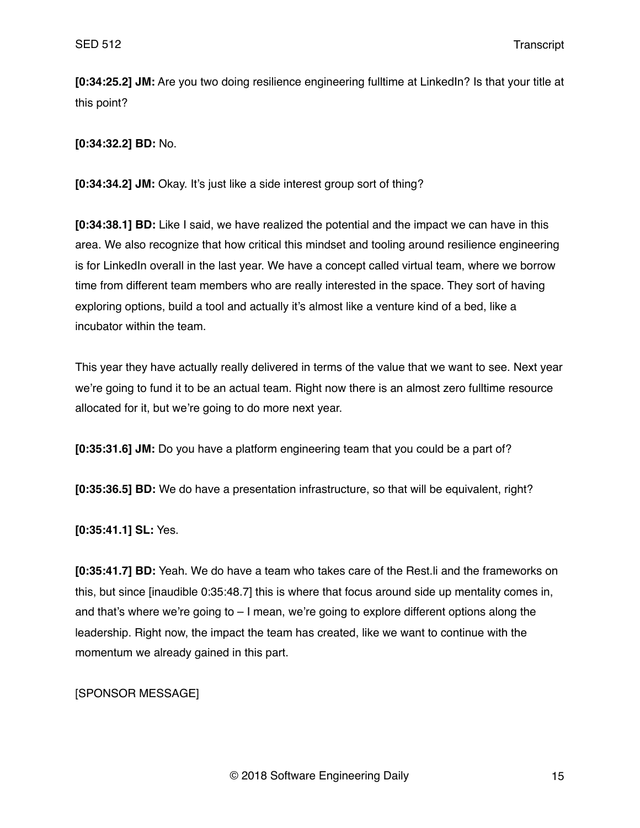**[0:34:25.2] JM:** Are you two doing resilience engineering fulltime at LinkedIn? Is that your title at this point?

**[0:34:32.2] BD:** No.

**[0:34:34.2] JM:** Okay. It's just like a side interest group sort of thing?

**[0:34:38.1] BD:** Like I said, we have realized the potential and the impact we can have in this area. We also recognize that how critical this mindset and tooling around resilience engineering is for LinkedIn overall in the last year. We have a concept called virtual team, where we borrow time from different team members who are really interested in the space. They sort of having exploring options, build a tool and actually it's almost like a venture kind of a bed, like a incubator within the team.

This year they have actually really delivered in terms of the value that we want to see. Next year we're going to fund it to be an actual team. Right now there is an almost zero fulltime resource allocated for it, but we're going to do more next year.

**[0:35:31.6] JM:** Do you have a platform engineering team that you could be a part of?

**[0:35:36.5] BD:** We do have a presentation infrastructure, so that will be equivalent, right?

**[0:35:41.1] SL:** Yes.

**[0:35:41.7] BD:** Yeah. We do have a team who takes care of the Rest.li and the frameworks on this, but since [inaudible 0:35:48.7] this is where that focus around side up mentality comes in, and that's where we're going to  $-1$  mean, we're going to explore different options along the leadership. Right now, the impact the team has created, like we want to continue with the momentum we already gained in this part.

[SPONSOR MESSAGE]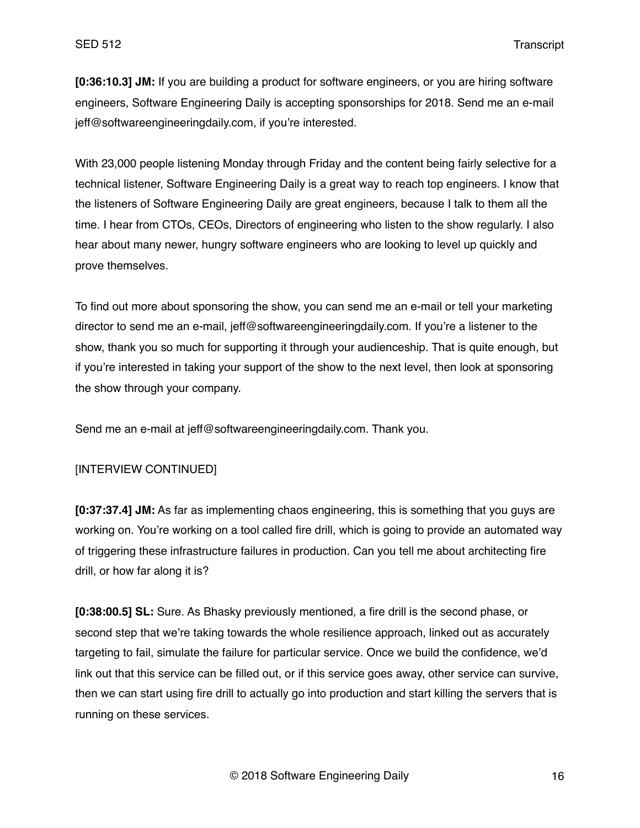**[0:36:10.3] JM:** If you are building a product for software engineers, or you are hiring software engineers, Software Engineering Daily is accepting sponsorships for 2018. Send me an e-mail jeff@softwareengineeringdaily.com, if you're interested.

With 23,000 people listening Monday through Friday and the content being fairly selective for a technical listener, Software Engineering Daily is a great way to reach top engineers. I know that the listeners of Software Engineering Daily are great engineers, because I talk to them all the time. I hear from CTOs, CEOs, Directors of engineering who listen to the show regularly. I also hear about many newer, hungry software engineers who are looking to level up quickly and prove themselves.

To find out more about sponsoring the show, you can send me an e-mail or tell your marketing director to send me an e-mail, jeff@softwareengineeringdaily.com. If you're a listener to the show, thank you so much for supporting it through your audienceship. That is quite enough, but if you're interested in taking your support of the show to the next level, then look at sponsoring the show through your company.

Send me an e-mail at jeff@softwareengineeringdaily.com. Thank you.

### [INTERVIEW CONTINUED]

**[0:37:37.4] JM:** As far as implementing chaos engineering, this is something that you guys are working on. You're working on a tool called fire drill, which is going to provide an automated way of triggering these infrastructure failures in production. Can you tell me about architecting fire drill, or how far along it is?

**[0:38:00.5] SL:** Sure. As Bhasky previously mentioned, a fire drill is the second phase, or second step that we're taking towards the whole resilience approach, linked out as accurately targeting to fail, simulate the failure for particular service. Once we build the confidence, we'd link out that this service can be filled out, or if this service goes away, other service can survive, then we can start using fire drill to actually go into production and start killing the servers that is running on these services.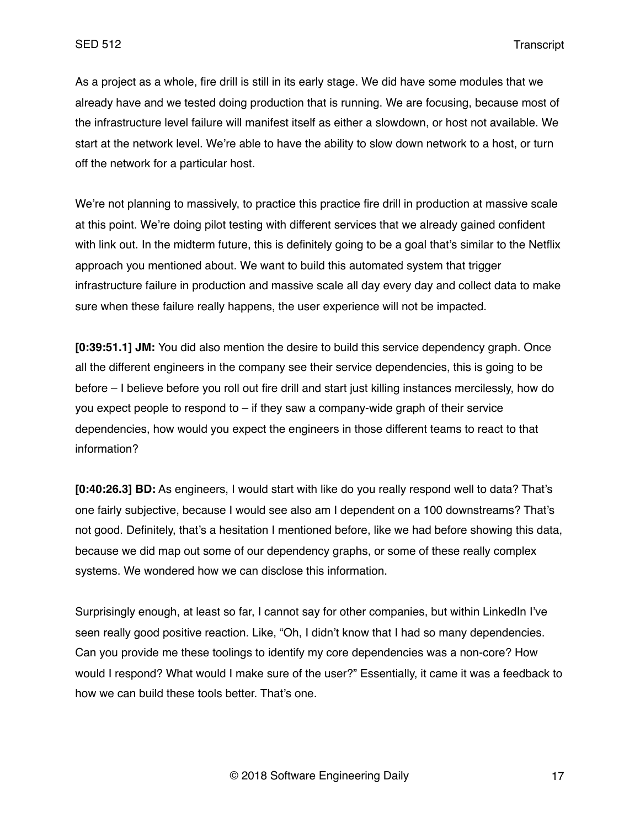As a project as a whole, fire drill is still in its early stage. We did have some modules that we already have and we tested doing production that is running. We are focusing, because most of the infrastructure level failure will manifest itself as either a slowdown, or host not available. We start at the network level. We're able to have the ability to slow down network to a host, or turn off the network for a particular host.

We're not planning to massively, to practice this practice fire drill in production at massive scale at this point. We're doing pilot testing with different services that we already gained confident with link out. In the midterm future, this is definitely going to be a goal that's similar to the Netflix approach you mentioned about. We want to build this automated system that trigger infrastructure failure in production and massive scale all day every day and collect data to make sure when these failure really happens, the user experience will not be impacted.

**[0:39:51.1] JM:** You did also mention the desire to build this service dependency graph. Once all the different engineers in the company see their service dependencies, this is going to be before – I believe before you roll out fire drill and start just killing instances mercilessly, how do you expect people to respond to – if they saw a company-wide graph of their service dependencies, how would you expect the engineers in those different teams to react to that information?

**[0:40:26.3] BD:** As engineers, I would start with like do you really respond well to data? That's one fairly subjective, because I would see also am I dependent on a 100 downstreams? That's not good. Definitely, that's a hesitation I mentioned before, like we had before showing this data, because we did map out some of our dependency graphs, or some of these really complex systems. We wondered how we can disclose this information.

Surprisingly enough, at least so far, I cannot say for other companies, but within LinkedIn I've seen really good positive reaction. Like, "Oh, I didn't know that I had so many dependencies. Can you provide me these toolings to identify my core dependencies was a non-core? How would I respond? What would I make sure of the user?" Essentially, it came it was a feedback to how we can build these tools better. That's one.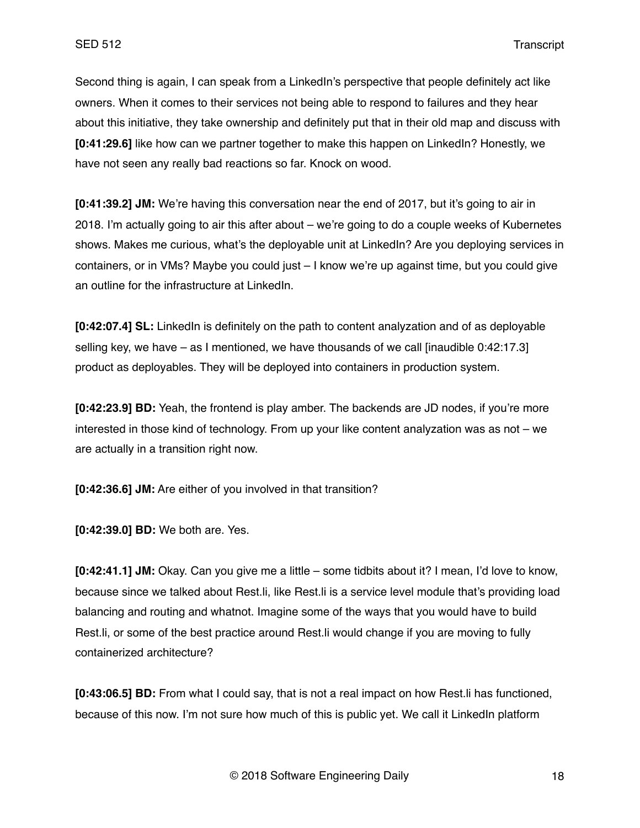Second thing is again, I can speak from a LinkedIn's perspective that people definitely act like owners. When it comes to their services not being able to respond to failures and they hear about this initiative, they take ownership and definitely put that in their old map and discuss with **[0:41:29.6]** like how can we partner together to make this happen on LinkedIn? Honestly, we have not seen any really bad reactions so far. Knock on wood.

**[0:41:39.2] JM:** We're having this conversation near the end of 2017, but it's going to air in 2018. I'm actually going to air this after about – we're going to do a couple weeks of Kubernetes shows. Makes me curious, what's the deployable unit at LinkedIn? Are you deploying services in containers, or in VMs? Maybe you could just – I know we're up against time, but you could give an outline for the infrastructure at LinkedIn.

**[0:42:07.4] SL:** LinkedIn is definitely on the path to content analyzation and of as deployable selling key, we have  $-$  as I mentioned, we have thousands of we call linaudible 0:42:17.3] product as deployables. They will be deployed into containers in production system.

**[0:42:23.9] BD:** Yeah, the frontend is play amber. The backends are JD nodes, if you're more interested in those kind of technology. From up your like content analyzation was as not – we are actually in a transition right now.

**[0:42:36.6] JM:** Are either of you involved in that transition?

**[0:42:39.0] BD:** We both are. Yes.

**[0:42:41.1] JM:** Okay. Can you give me a little – some tidbits about it? I mean, I'd love to know, because since we talked about Rest.li, like Rest.li is a service level module that's providing load balancing and routing and whatnot. Imagine some of the ways that you would have to build Rest.li, or some of the best practice around Rest.li would change if you are moving to fully containerized architecture?

**[0:43:06.5] BD:** From what I could say, that is not a real impact on how Rest.li has functioned, because of this now. I'm not sure how much of this is public yet. We call it LinkedIn platform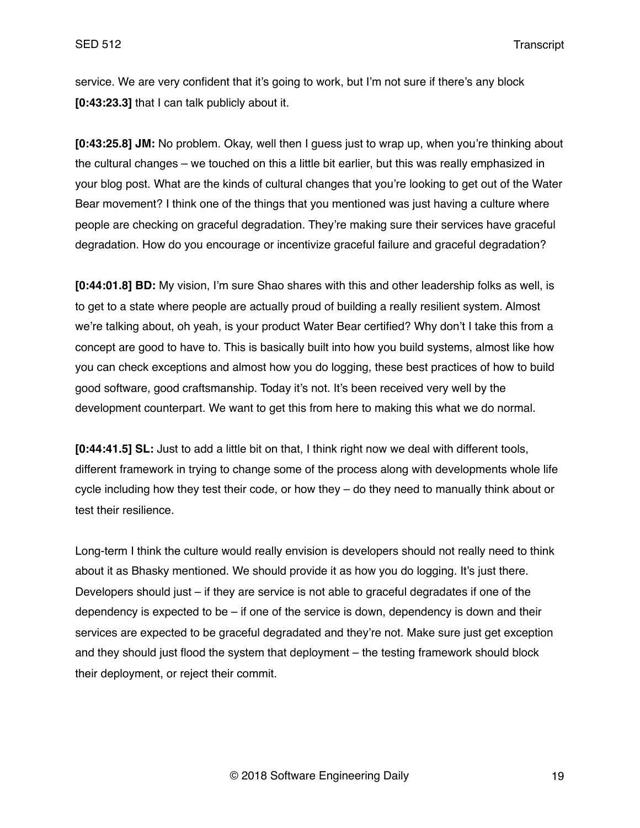service. We are very confident that it's going to work, but I'm not sure if there's any block **[0:43:23.3]** that I can talk publicly about it.

**[0:43:25.8] JM:** No problem. Okay, well then I guess just to wrap up, when you're thinking about the cultural changes – we touched on this a little bit earlier, but this was really emphasized in your blog post. What are the kinds of cultural changes that you're looking to get out of the Water Bear movement? I think one of the things that you mentioned was just having a culture where people are checking on graceful degradation. They're making sure their services have graceful degradation. How do you encourage or incentivize graceful failure and graceful degradation?

**[0:44:01.8] BD:** My vision, I'm sure Shao shares with this and other leadership folks as well, is to get to a state where people are actually proud of building a really resilient system. Almost we're talking about, oh yeah, is your product Water Bear certified? Why don't I take this from a concept are good to have to. This is basically built into how you build systems, almost like how you can check exceptions and almost how you do logging, these best practices of how to build good software, good craftsmanship. Today it's not. It's been received very well by the development counterpart. We want to get this from here to making this what we do normal.

**[0:44:41.5] SL:** Just to add a little bit on that, I think right now we deal with different tools, different framework in trying to change some of the process along with developments whole life cycle including how they test their code, or how they – do they need to manually think about or test their resilience.

Long-term I think the culture would really envision is developers should not really need to think about it as Bhasky mentioned. We should provide it as how you do logging. It's just there. Developers should just – if they are service is not able to graceful degradates if one of the dependency is expected to be – if one of the service is down, dependency is down and their services are expected to be graceful degradated and they're not. Make sure just get exception and they should just flood the system that deployment – the testing framework should block their deployment, or reject their commit.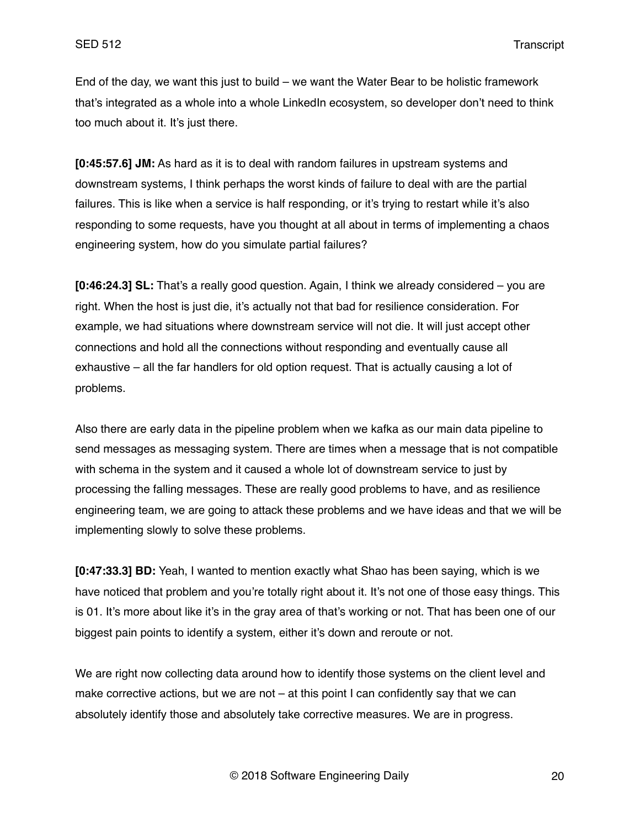End of the day, we want this just to build – we want the Water Bear to be holistic framework that's integrated as a whole into a whole LinkedIn ecosystem, so developer don't need to think too much about it. It's just there.

**[0:45:57.6] JM:** As hard as it is to deal with random failures in upstream systems and downstream systems, I think perhaps the worst kinds of failure to deal with are the partial failures. This is like when a service is half responding, or it's trying to restart while it's also responding to some requests, have you thought at all about in terms of implementing a chaos engineering system, how do you simulate partial failures?

**[0:46:24.3] SL:** That's a really good question. Again, I think we already considered – you are right. When the host is just die, it's actually not that bad for resilience consideration. For example, we had situations where downstream service will not die. It will just accept other connections and hold all the connections without responding and eventually cause all exhaustive – all the far handlers for old option request. That is actually causing a lot of problems.

Also there are early data in the pipeline problem when we kafka as our main data pipeline to send messages as messaging system. There are times when a message that is not compatible with schema in the system and it caused a whole lot of downstream service to just by processing the falling messages. These are really good problems to have, and as resilience engineering team, we are going to attack these problems and we have ideas and that we will be implementing slowly to solve these problems.

**[0:47:33.3] BD:** Yeah, I wanted to mention exactly what Shao has been saying, which is we have noticed that problem and you're totally right about it. It's not one of those easy things. This is 01. It's more about like it's in the gray area of that's working or not. That has been one of our biggest pain points to identify a system, either it's down and reroute or not.

We are right now collecting data around how to identify those systems on the client level and make corrective actions, but we are not – at this point I can confidently say that we can absolutely identify those and absolutely take corrective measures. We are in progress.